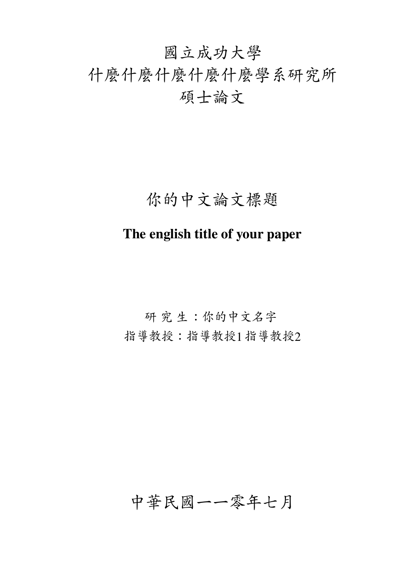# <span id="page-0-0"></span><sup>國</sup>立成功大<sup>學</sup> <sup>什</sup>麼什麼什麼什麼什麼學系研究所 碩士論文

## 你的中文論文標<sup>題</sup>

### **The english title of your paper**

<sup>研</sup> <sup>究</sup> <sup>生</sup>:你的中文名<sup>字</sup> 指導教授:指導教授1指導教授2

## <sup>中</sup>華民國一一零年七月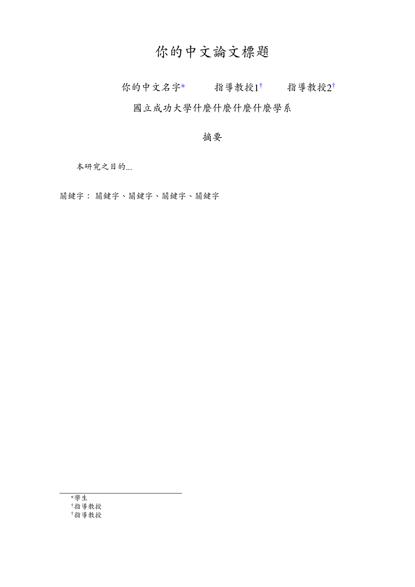### 你的中文論文標<sup>題</sup>

<span id="page-1-0"></span>你的中文名字\* 指導教授1<sup>[†](#page-0-0)</sup> 指導教授2<sup>†</sup>

<sup>國</sup>立成功大學什麼什麼什麼什麼學系

#### <sup>摘</sup>要

本研究之目的...

<sup>關</sup>鍵字: <sup>關</sup>鍵字、關鍵字、關鍵字、關鍵<sup>字</sup>

<sup>∗</sup>學生 †指導教授 †指導教授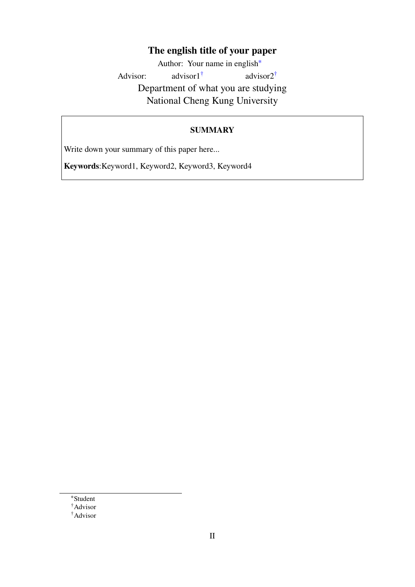#### **The english title of your paper**

<span id="page-2-0"></span>Author: Your name in english[∗](#page-0-0) Advisor: advisor1[†](#page-0-0) advisor2[†](#page-0-0) Department of what you are studying National Cheng Kung University

#### **SUMMARY**

Write down your summary of this paper here...

**Keywords**:Keyword1, Keyword2, Keyword3, Keyword4

<sup>∗</sup>Student

†Advisor

<sup>†</sup>Advisor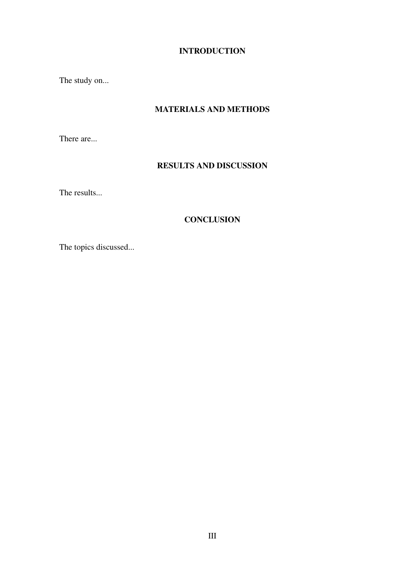#### **INTRODUCTION**

The study on...

#### **MATERIALS AND METHODS**

There are...

#### **RESULTS AND DISCUSSION**

The results...

#### **CONCLUSION**

The topics discussed...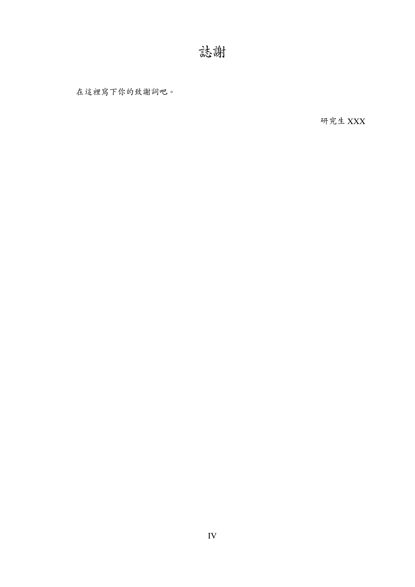<span id="page-4-0"></span><sup>在</sup>這裡寫下你的致謝詞吧。

研究生 XXX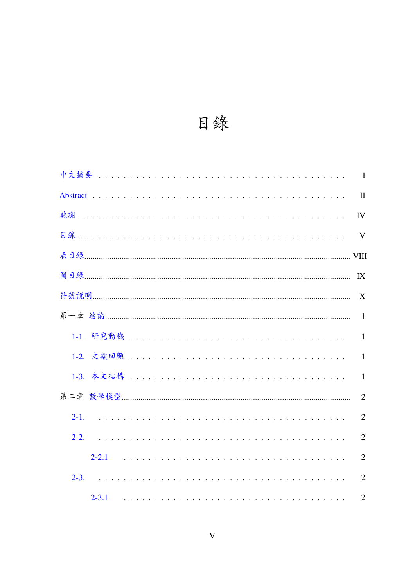

<span id="page-5-0"></span>

|              | IV             |
|--------------|----------------|
| $\mathbf{V}$ |                |
|              |                |
|              |                |
|              | X              |
|              | $\overline{1}$ |
|              |                |
|              | $\overline{1}$ |
|              | $\mathbf{1}$   |
|              | 2              |
|              | $\overline{2}$ |
| $2-2.$       | $\overline{2}$ |
|              | $\overline{2}$ |
| $2 - 3$ .    | 2              |
|              | $\overline{2}$ |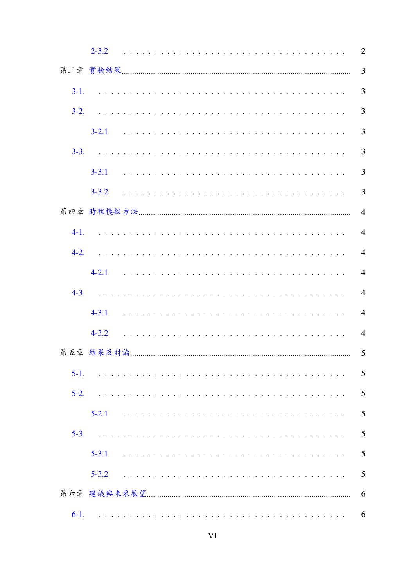|           | $2 - 3.2$ | $\overline{2}$ |
|-----------|-----------|----------------|
|           |           | 3              |
| $3-1.$    |           | 3              |
| $3-2.$    |           | $\overline{3}$ |
|           |           | 3              |
| $3-3.$    |           | $\overline{3}$ |
|           | $3 - 3.1$ | 3              |
|           | $3 - 3.2$ | $\overline{3}$ |
|           |           | $\overline{4}$ |
| $4-1.$    |           | $\overline{4}$ |
| $4-2.$    |           | $\overline{4}$ |
|           |           | $\overline{4}$ |
| $4 - 3$ . |           | $\overline{4}$ |
|           | $4 - 3.1$ | $\overline{4}$ |
|           | $4 - 3.2$ | $\overline{4}$ |
|           |           | 5              |
| $5-1.$    |           | 5              |
| $5-2.$    |           | 5              |
|           | $5 - 2.1$ | 5              |
| $5-3.$    |           | 5              |
|           | $5 - 3.1$ | 5              |
|           | $5 - 3.2$ | 5              |
|           |           | 6              |
| $6-1.$    |           | 6              |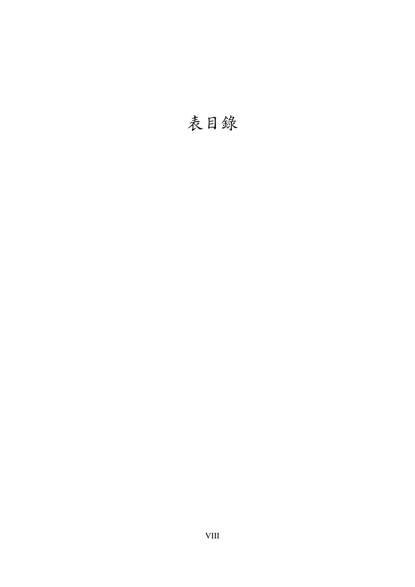# <span id="page-8-0"></span><sup>表</sup>目錄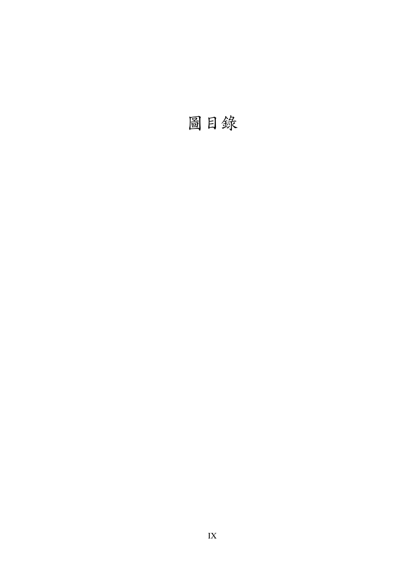<span id="page-9-0"></span>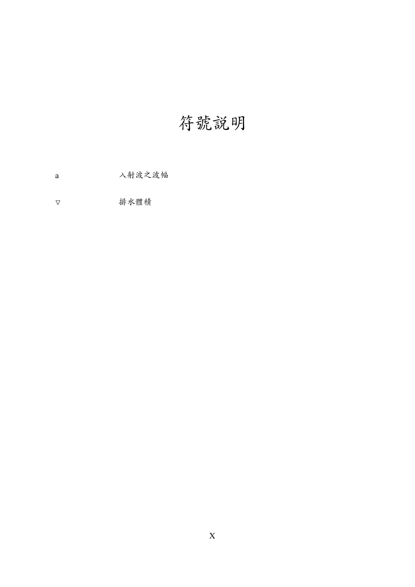# 符號說明

<span id="page-10-0"></span>入射波之波幅  $\rm{a}$ 

排水體積  $\boldsymbol{\nabla}$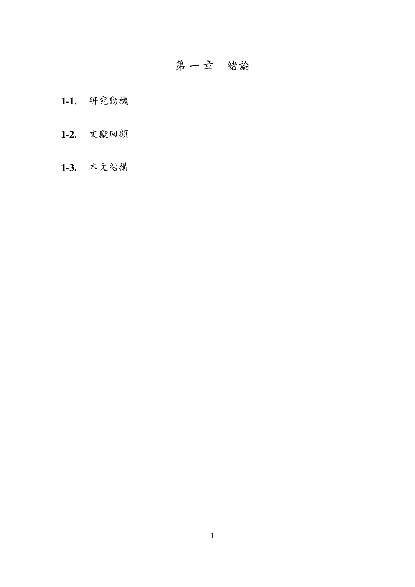### 第一章 緒論

- <span id="page-11-1"></span><span id="page-11-0"></span>**1-1.** 研究動機
- <span id="page-11-2"></span>**1-2.** 文獻回顧
- <span id="page-11-3"></span>**1-3.** 本文結<sup>構</sup>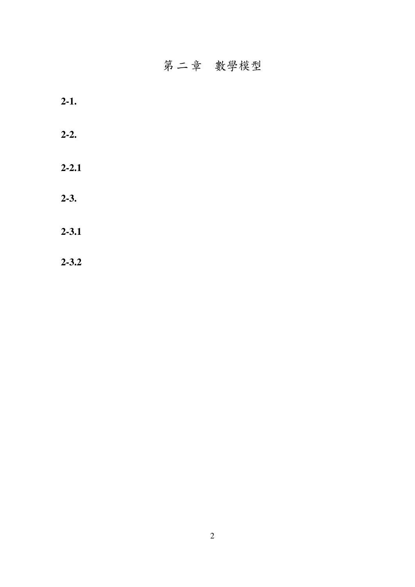## 第二章 數學模型

<span id="page-12-6"></span><span id="page-12-5"></span><span id="page-12-4"></span><span id="page-12-3"></span><span id="page-12-2"></span><span id="page-12-1"></span><span id="page-12-0"></span>

| $2 - 1.$  |  |  |
|-----------|--|--|
| $2 - 2.$  |  |  |
| $2 - 2.1$ |  |  |
| $2 - 3$ . |  |  |
| $2 - 3.1$ |  |  |
| $2 - 3.2$ |  |  |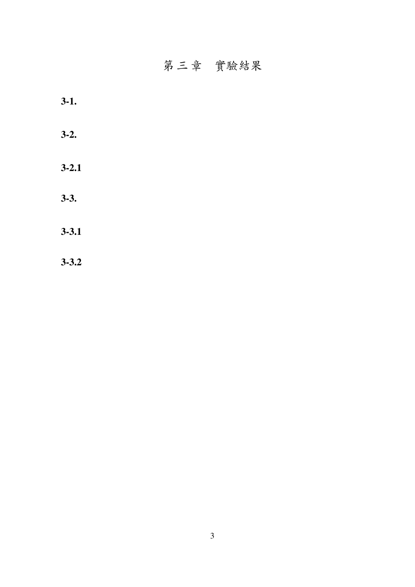### 第三章 實驗結果

<span id="page-13-6"></span><span id="page-13-5"></span><span id="page-13-4"></span><span id="page-13-3"></span><span id="page-13-2"></span><span id="page-13-1"></span><span id="page-13-0"></span>

| $3-1.$    |  |  |
|-----------|--|--|
| $3-2.$    |  |  |
| $3 - 2.1$ |  |  |
| $3 - 3.$  |  |  |
| $3 - 3.1$ |  |  |
| $3 - 3.2$ |  |  |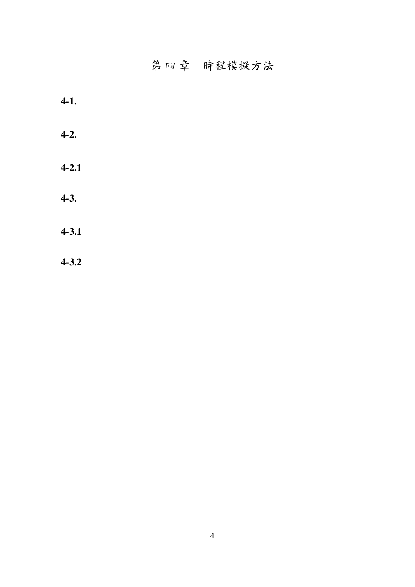### 第 四 章 時程模擬方法

<span id="page-14-6"></span><span id="page-14-5"></span><span id="page-14-4"></span><span id="page-14-3"></span><span id="page-14-2"></span><span id="page-14-1"></span><span id="page-14-0"></span>

| $4-1.$    |  |  |  |
|-----------|--|--|--|
| $4-2.$    |  |  |  |
| $4 - 2.1$ |  |  |  |
| $4-3.$    |  |  |  |
| $4 - 3.1$ |  |  |  |
| $4 - 3.2$ |  |  |  |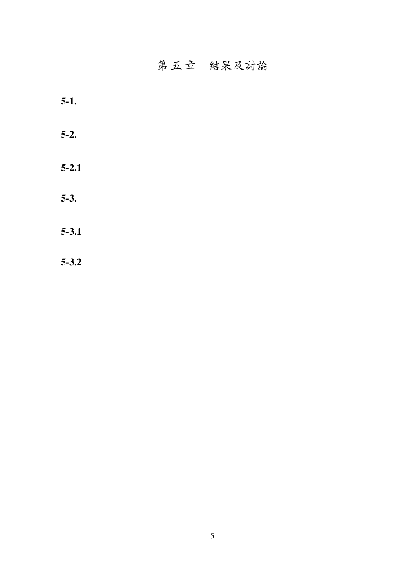### 第五章 結果及討論

<span id="page-15-6"></span><span id="page-15-5"></span><span id="page-15-4"></span><span id="page-15-3"></span><span id="page-15-2"></span><span id="page-15-1"></span><span id="page-15-0"></span>

| $5-1.$    |  |  |
|-----------|--|--|
| $5-2.$    |  |  |
| $5 - 2.1$ |  |  |
| $5-3.$    |  |  |
| $5 - 3.1$ |  |  |
| $5 - 3.2$ |  |  |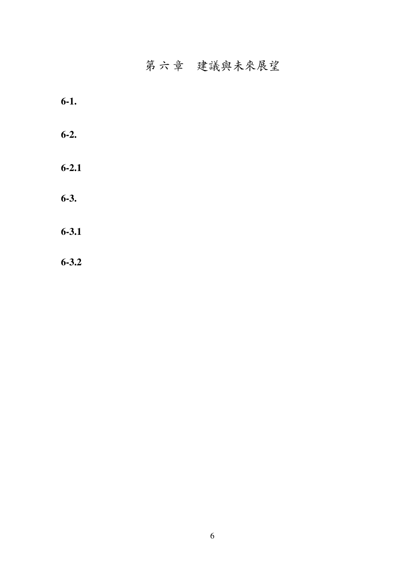### 第六章 建議與未來展望

<span id="page-16-6"></span><span id="page-16-5"></span><span id="page-16-4"></span><span id="page-16-3"></span><span id="page-16-2"></span><span id="page-16-1"></span><span id="page-16-0"></span>

| $6-1.$    |  |  |  |
|-----------|--|--|--|
| $6-2.$    |  |  |  |
| $6 - 2.1$ |  |  |  |
| $6-3.$    |  |  |  |
| $6 - 3.1$ |  |  |  |
| $6 - 3.2$ |  |  |  |